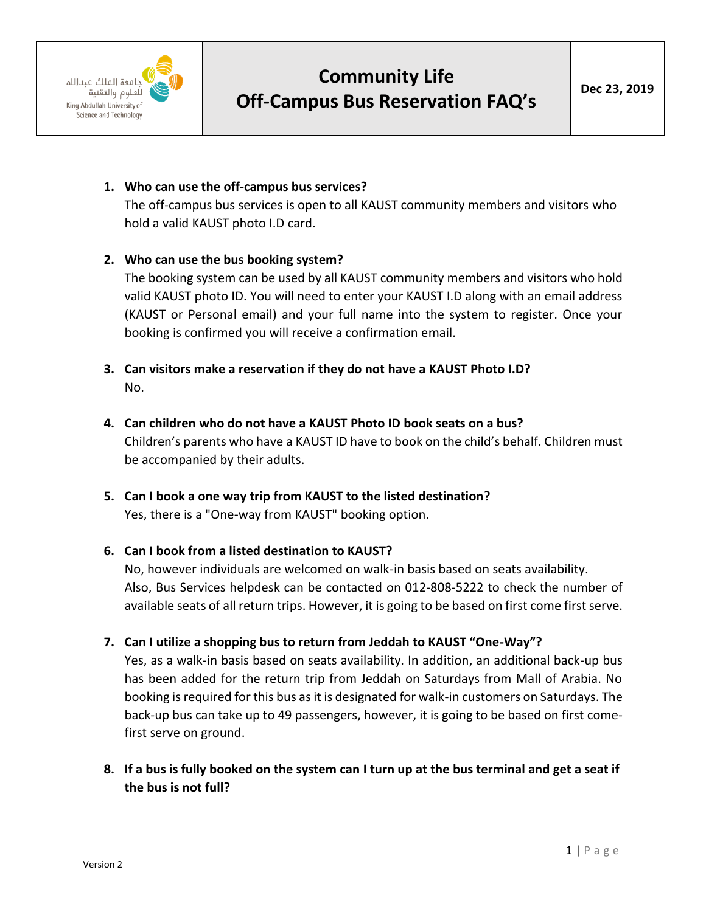

## **Community Life Off-Campus Bus Reservation FAQ's**

## **1. Who can use the off-campus bus services?**

The off-campus bus services is open to all KAUST community members and visitors who hold a valid KAUST photo I.D card.

## **2. Who can use the bus booking system?**

The booking system can be used by all KAUST community members and visitors who hold valid KAUST photo ID. You will need to enter your KAUST I.D along with an email address (KAUST or Personal email) and your full name into the system to register. Once your booking is confirmed you will receive a confirmation email.

- **3. Can visitors make a reservation if they do not have a KAUST Photo I.D?** No.
- **4. Can children who do not have a KAUST Photo ID book seats on a bus?** Children's parents who have a KAUST ID have to book on the child's behalf. Children must be accompanied by their adults.
- **5. Can I book a one way trip from KAUST to the listed destination?** Yes, there is a "One-way from KAUST" booking option.
- **6. Can I book from a listed destination to KAUST?** No, however individuals are welcomed on walk-in basis based on seats availability. Also, Bus Services helpdesk can be contacted on 012-808-5222 to check the number of available seats of all return trips. However, it is going to be based on first come first serve.
- **7. Can I utilize a shopping bus to return from Jeddah to KAUST "One-Way"?**

Yes, as a walk-in basis based on seats availability. In addition, an additional back-up bus has been added for the return trip from Jeddah on Saturdays from Mall of Arabia. No booking is required for this bus as it is designated for walk-in customers on Saturdays. The back-up bus can take up to 49 passengers, however, it is going to be based on first comefirst serve on ground.

**8. If a bus is fully booked on the system can I turn up at the bus terminal and get a seat if the bus is not full?**